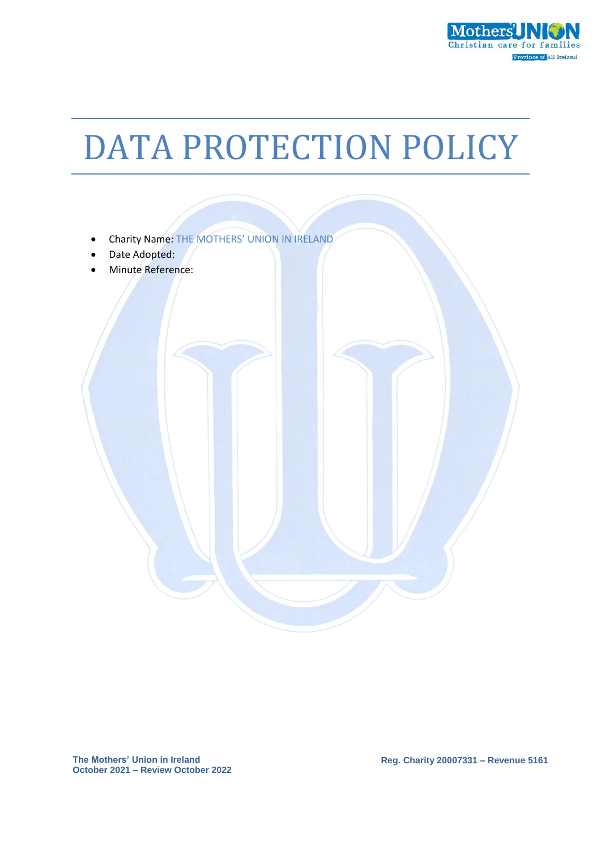

# DATA PROTECTION POLICY



**Reg. Charity 20007331 – Revenue 5161**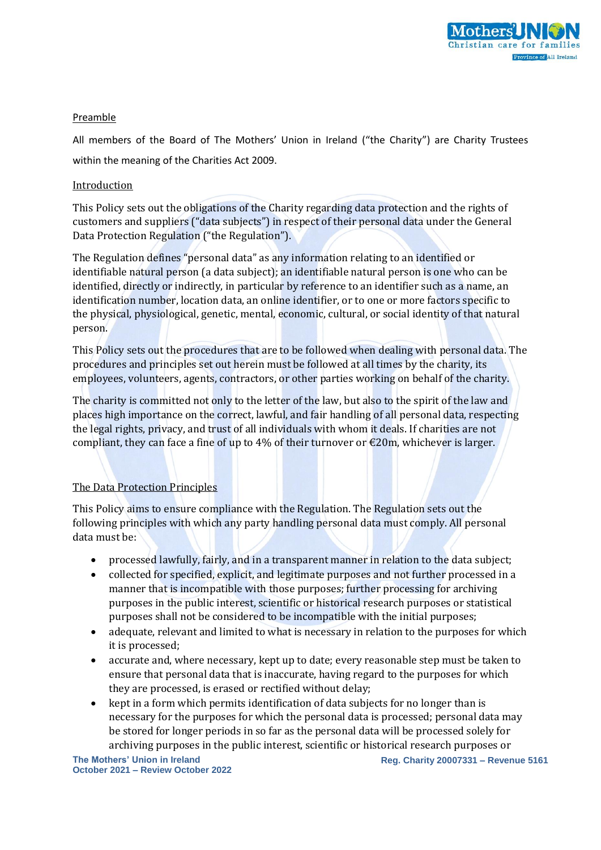

### Preamble

All members of the Board of The Mothers' Union in Ireland ("the Charity") are Charity Trustees within the meaning of the Charities Act 2009.

#### Introduction

This Policy sets out the obligations of the Charity regarding data protection and the rights of customers and suppliers ("data subjects") in respect of their personal data under the General Data Protection Regulation ("the Regulation").

The Regulation defines "personal data" as any information relating to an identified or identifiable natural person (a data subject); an identifiable natural person is one who can be identified, directly or indirectly, in particular by reference to an identifier such as a name, an identification number, location data, an online identifier, or to one or more factors specific to the physical, physiological, genetic, mental, economic, cultural, or social identity of that natural person.

This Policy sets out the procedures that are to be followed when dealing with personal data. The procedures and principles set out herein must be followed at all times by the charity, its employees, volunteers, agents, contractors, or other parties working on behalf of the charity.

The charity is committed not only to the letter of the law, but also to the spirit of the law and places high importance on the correct, lawful, and fair handling of all personal data, respecting the legal rights, privacy, and trust of all individuals with whom it deals. If charities are not compliant, they can face a fine of up to 4% of their turnover or  $\epsilon$ 20m, whichever is larger.

### The Data Protection Principles

This Policy aims to ensure compliance with the Regulation. The Regulation sets out the following principles with which any party handling personal data must comply. All personal data must be:

- processed lawfully, fairly, and in a transparent manner in relation to the data subject;
- collected for specified, explicit, and legitimate purposes and not further processed in a manner that is incompatible with those purposes; further processing for archiving purposes in the public interest, scientific or historical research purposes or statistical purposes shall not be considered to be incompatible with the initial purposes;
- adequate, relevant and limited to what is necessary in relation to the purposes for which it is processed;
- accurate and, where necessary, kept up to date; every reasonable step must be taken to ensure that personal data that is inaccurate, having regard to the purposes for which they are processed, is erased or rectified without delay;
- kept in a form which permits identification of data subjects for no longer than is necessary for the purposes for which the personal data is processed; personal data may be stored for longer periods in so far as the personal data will be processed solely for archiving purposes in the public interest, scientific or historical research purposes or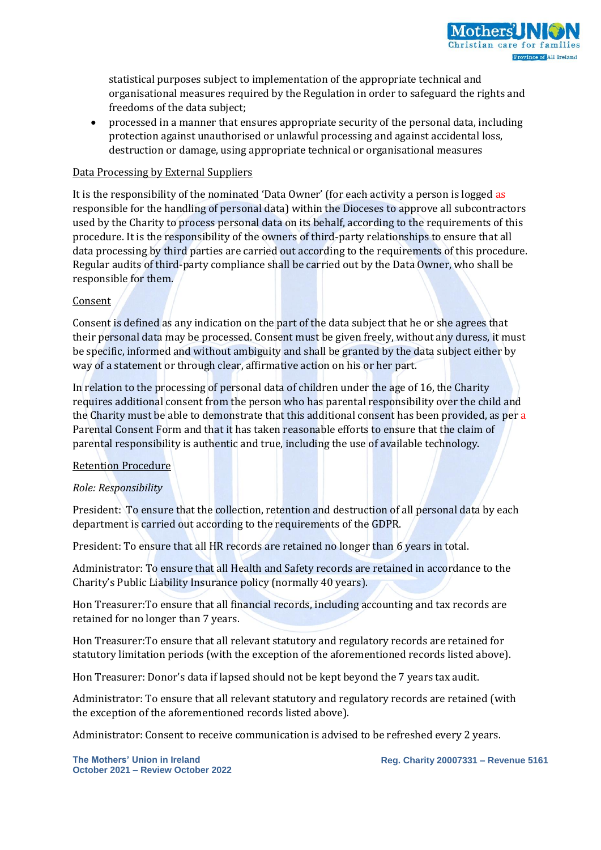

statistical purposes subject to implementation of the appropriate technical and organisational measures required by the Regulation in order to safeguard the rights and freedoms of the data subject;

 processed in a manner that ensures appropriate security of the personal data, including protection against unauthorised or unlawful processing and against accidental loss, destruction or damage, using appropriate technical or organisational measures

#### Data Processing by External Suppliers

It is the responsibility of the nominated 'Data Owner' (for each activity a person is logged as responsible for the handling of personal data) within the Dioceses to approve all subcontractors used by the Charity to process personal data on its behalf, according to the requirements of this procedure. It is the responsibility of the owners of third-party relationships to ensure that all data processing by third parties are carried out according to the requirements of this procedure. Regular audits of third-party compliance shall be carried out by the Data Owner, who shall be responsible for them.

#### Consent

Consent is defined as any indication on the part of the data subject that he or she agrees that their personal data may be processed. Consent must be given freely, without any duress, it must be specific, informed and without ambiguity and shall be granted by the data subject either by way of a statement or through clear, affirmative action on his or her part.

In relation to the processing of personal data of children under the age of 16, the Charity requires additional consent from the person who has parental responsibility over the child and the Charity must be able to demonstrate that this additional consent has been provided, as per a Parental Consent Form and that it has taken reasonable efforts to ensure that the claim of parental responsibility is authentic and true, including the use of available technology.

#### Retention Procedure

#### *Role: Responsibility*

President: To ensure that the collection, retention and destruction of all personal data by each department is carried out according to the requirements of the GDPR.

President: To ensure that all HR records are retained no longer than 6 years in total.

Administrator: To ensure that all Health and Safety records are retained in accordance to the Charity's Public Liability Insurance policy (normally 40 years).

Hon Treasurer:To ensure that all financial records, including accounting and tax records are retained for no longer than 7 years.

Hon Treasurer:To ensure that all relevant statutory and regulatory records are retained for statutory limitation periods (with the exception of the aforementioned records listed above).

Hon Treasurer: Donor's data if lapsed should not be kept beyond the 7 years tax audit.

Administrator: To ensure that all relevant statutory and regulatory records are retained (with the exception of the aforementioned records listed above).

Administrator: Consent to receive communication is advised to be refreshed every 2 years.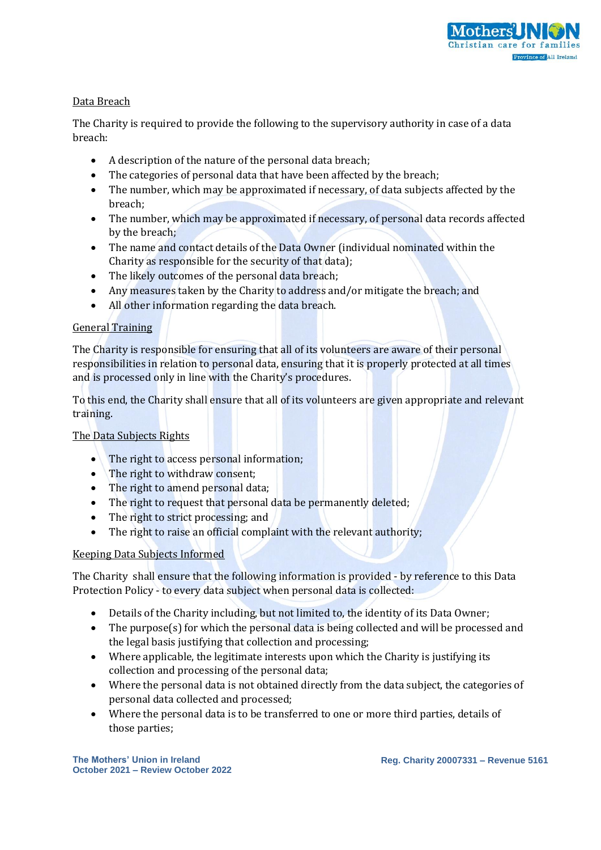

## Data Breach

The Charity is required to provide the following to the supervisory authority in case of a data breach:

- A description of the nature of the personal data breach;
- The categories of personal data that have been affected by the breach:
- The number, which may be approximated if necessary, of data subjects affected by the breach;
- The number, which may be approximated if necessary, of personal data records affected by the breach;
- The name and contact details of the Data Owner (individual nominated within the Charity as responsible for the security of that data);
- The likely outcomes of the personal data breach;
- Any measures taken by the Charity to address and/or mitigate the breach; and
- All other information regarding the data breach.

# General Training

The Charity is responsible for ensuring that all of its volunteers are aware of their personal responsibilities in relation to personal data, ensuring that it is properly protected at all times and is processed only in line with the Charity's procedures.

To this end, the Charity shall ensure that all of its volunteers are given appropriate and relevant training.

# The Data Subjects Rights

- The right to access personal information;
- The right to withdraw consent;
- The right to amend personal data;
- The right to request that personal data be permanently deleted;
- The right to strict processing; and
- The right to raise an official complaint with the relevant authority;

### Keeping Data Subjects Informed

The Charity shall ensure that the following information is provided - by reference to this Data Protection Policy - to every data subject when personal data is collected:

- Details of the Charity including, but not limited to, the identity of its Data Owner;
- The purpose(s) for which the personal data is being collected and will be processed and the legal basis justifying that collection and processing;
- Where applicable, the legitimate interests upon which the Charity is justifying its collection and processing of the personal data;
- Where the personal data is not obtained directly from the data subject, the categories of personal data collected and processed;
- Where the personal data is to be transferred to one or more third parties, details of those parties;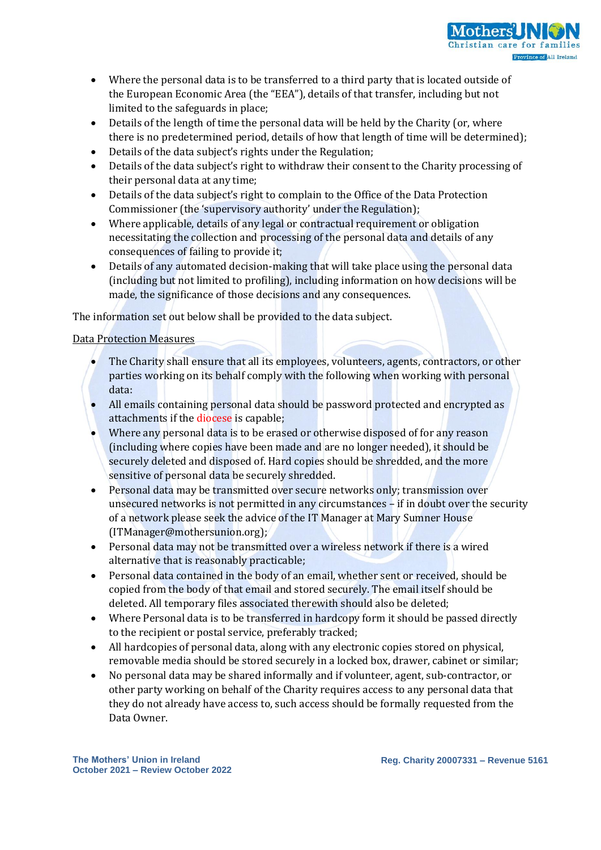

- Where the personal data is to be transferred to a third party that is located outside of the European Economic Area (the "EEA"), details of that transfer, including but not limited to the safeguards in place;
- Details of the length of time the personal data will be held by the Charity (or, where there is no predetermined period, details of how that length of time will be determined);
- Details of the data subject's rights under the Regulation;
- Details of the data subject's right to withdraw their consent to the Charity processing of their personal data at any time;
- Details of the data subject's right to complain to the Office of the Data Protection Commissioner (the 'supervisory authority' under the Regulation);
- Where applicable, details of any legal or contractual requirement or obligation necessitating the collection and processing of the personal data and details of any consequences of failing to provide it;
- Details of any automated decision-making that will take place using the personal data (including but not limited to profiling), including information on how decisions will be made, the significance of those decisions and any consequences.

The information set out below shall be provided to the data subject.

## Data Protection Measures

- The Charity shall ensure that all its employees, volunteers, agents, contractors, or other parties working on its behalf comply with the following when working with personal data:
- All emails containing personal data should be password protected and encrypted as attachments if the diocese is capable;
- Where any personal data is to be erased or otherwise disposed of for any reason (including where copies have been made and are no longer needed), it should be securely deleted and disposed of. Hard copies should be shredded, and the more sensitive of personal data be securely shredded.
- Personal data may be transmitted over secure networks only; transmission over unsecured networks is not permitted in any circumstances – if in doubt over the security of a network please seek the advice of the IT Manager at Mary Sumner House (ITManager@mothersunion.org);
- Personal data may not be transmitted over a wireless network if there is a wired alternative that is reasonably practicable;
- Personal data contained in the body of an email, whether sent or received, should be copied from the body of that email and stored securely. The email itself should be deleted. All temporary files associated therewith should also be deleted;
- Where Personal data is to be transferred in hardcopy form it should be passed directly to the recipient or postal service, preferably tracked;
- All hardcopies of personal data, along with any electronic copies stored on physical, removable media should be stored securely in a locked box, drawer, cabinet or similar;
- No personal data may be shared informally and if volunteer, agent, sub-contractor, or other party working on behalf of the Charity requires access to any personal data that they do not already have access to, such access should be formally requested from the Data Owner.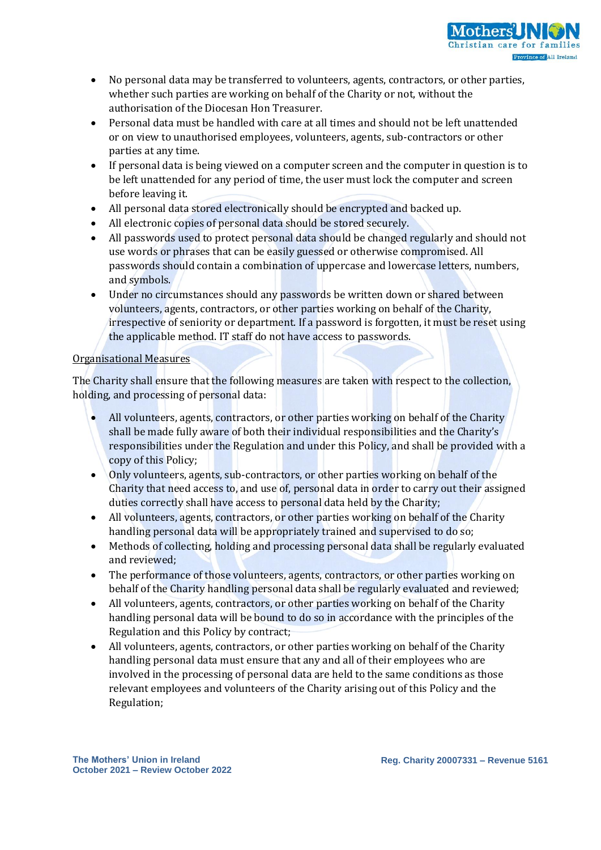

- No personal data may be transferred to volunteers, agents, contractors, or other parties, whether such parties are working on behalf of the Charity or not, without the authorisation of the Diocesan Hon Treasurer.
- Personal data must be handled with care at all times and should not be left unattended or on view to unauthorised employees, volunteers, agents, sub-contractors or other parties at any time.
- If personal data is being viewed on a computer screen and the computer in question is to be left unattended for any period of time, the user must lock the computer and screen before leaving it.
- All personal data stored electronically should be encrypted and backed up.
- All electronic copies of personal data should be stored securely.
- All passwords used to protect personal data should be changed regularly and should not use words or phrases that can be easily guessed or otherwise compromised. All passwords should contain a combination of uppercase and lowercase letters, numbers, and symbols.
- Under no circumstances should any passwords be written down or shared between volunteers, agents, contractors, or other parties working on behalf of the Charity, irrespective of seniority or department. If a password is forgotten, it must be reset using the applicable method. IT staff do not have access to passwords.

## Organisational Measures

The Charity shall ensure that the following measures are taken with respect to the collection, holding, and processing of personal data:

- All volunteers, agents, contractors, or other parties working on behalf of the Charity shall be made fully aware of both their individual responsibilities and the Charity's responsibilities under the Regulation and under this Policy, and shall be provided with a copy of this Policy;
- Only volunteers, agents, sub-contractors, or other parties working on behalf of the Charity that need access to, and use of, personal data in order to carry out their assigned duties correctly shall have access to personal data held by the Charity;
- All volunteers, agents, contractors, or other parties working on behalf of the Charity handling personal data will be appropriately trained and supervised to do so;
- Methods of collecting, holding and processing personal data shall be regularly evaluated and reviewed;
- The performance of those volunteers, agents, contractors, or other parties working on behalf of the Charity handling personal data shall be regularly evaluated and reviewed;
- All volunteers, agents, contractors, or other parties working on behalf of the Charity handling personal data will be bound to do so in accordance with the principles of the Regulation and this Policy by contract;
- All volunteers, agents, contractors, or other parties working on behalf of the Charity handling personal data must ensure that any and all of their employees who are involved in the processing of personal data are held to the same conditions as those relevant employees and volunteers of the Charity arising out of this Policy and the Regulation;